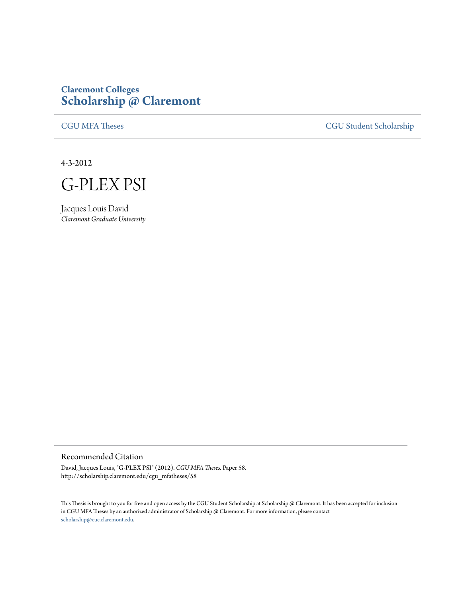## **Claremont Colleges [Scholarship @ Claremont](http://scholarship.claremont.edu)**

[CGU MFA Theses](http://scholarship.claremont.edu/cgu_mfatheses) [CGU Student Scholarship](http://scholarship.claremont.edu/cgu_student)

4-3-2012



Jacques Louis David *Claremont Graduate University*

## Recommended Citation

David, Jacques Louis, "G-PLEX PSI" (2012). *CGU MFA Theses.* Paper 58. http://scholarship.claremont.edu/cgu\_mfatheses/58

This Thesis is brought to you for free and open access by the CGU Student Scholarship at Scholarship @ Claremont. It has been accepted for inclusion in CGU MFA Theses by an authorized administrator of Scholarship @ Claremont. For more information, please contact [scholarship@cuc.claremont.edu.](mailto:scholarship@cuc.claremont.edu)